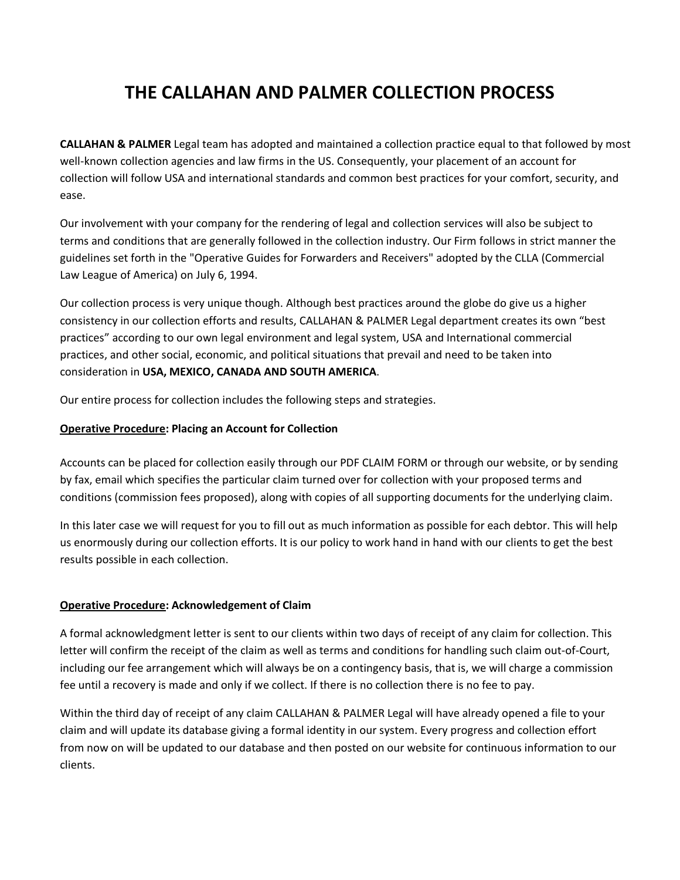# **THE CALLAHAN AND PALMER COLLECTION PROCESS**

**CALLAHAN & PALMER** Legal team has adopted and maintained a collection practice equal to that followed by most well-known collection agencies and law firms in the US. Consequently, your placement of an account for collection will follow USA and international standards and common best practices for your comfort, security, and ease.

Our involvement with your company for the rendering of legal and collection services will also be subject to terms and conditions that are generally followed in the collection industry. Our Firm follows in strict manner the guidelines set forth in the "Operative Guides for Forwarders and Receivers" adopted by the CLLA (Commercial Law League of America) on July 6, 1994.

Our collection process is very unique though. Although best practices around the globe do give us a higher consistency in our collection efforts and results, CALLAHAN & PALMER Legal department creates its own "best practices" according to our own legal environment and legal system, USA and International commercial practices, and other social, economic, and political situations that prevail and need to be taken into consideration in **USA, MEXICO, CANADA AND SOUTH AMERICA**.

Our entire process for collection includes the following steps and strategies.

## **Operative Procedure: Placing an Account for Collection**

Accounts can be placed for collection easily through our PDF CLAIM FORM or through our website, or by sending by fax, email which specifies the particular claim turned over for collection with your proposed terms and conditions (commission fees proposed), along with copies of all supporting documents for the underlying claim.

In this later case we will request for you to fill out as much information as possible for each debtor. This will help us enormously during our collection efforts. It is our policy to work hand in hand with our clients to get the best results possible in each collection.

#### **Operative Procedure: Acknowledgement of Claim**

A formal acknowledgment letter is sent to our clients within two days of receipt of any claim for collection. This letter will confirm the receipt of the claim as well as terms and conditions for handling such claim out-of-Court, including our fee arrangement which will always be on a contingency basis, that is, we will charge a commission fee until a recovery is made and only if we collect. If there is no collection there is no fee to pay.

Within the third day of receipt of any claim CALLAHAN & PALMER Legal will have already opened a file to your claim and will update its database giving a formal identity in our system. Every progress and collection effort from now on will be updated to our database and then posted on our website for continuous information to our clients.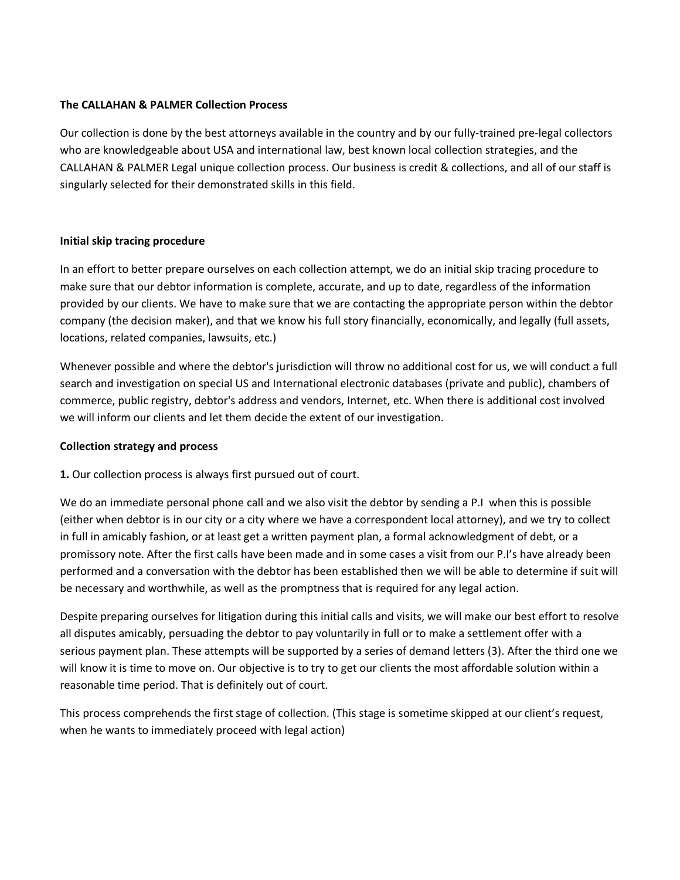## **The CALLAHAN & PALMER Collection Process**

Our collection is done by the best attorneys available in the country and by our fully-trained pre-legal collectors who are knowledgeable about USA and international law, best known local collection strategies, and the CALLAHAN & PALMER Legal unique collection process. Our business is credit & collections, and all of our staff is singularly selected for their demonstrated skills in this field.

## **Initial skip tracing procedure**

In an effort to better prepare ourselves on each collection attempt, we do an initial skip tracing procedure to make sure that our debtor information is complete, accurate, and up to date, regardless of the information provided by our clients. We have to make sure that we are contacting the appropriate person within the debtor company (the decision maker), and that we know his full story financially, economically, and legally (full assets, locations, related companies, lawsuits, etc.)

Whenever possible and where the debtor's jurisdiction will throw no additional cost for us, we will conduct a full search and investigation on special US and International electronic databases (private and public), chambers of commerce, public registry, debtor's address and vendors, Internet, etc. When there is additional cost involved we will inform our clients and let them decide the extent of our investigation.

#### **Collection strategy and process**

**1.** Our collection process is always first pursued out of court.

We do an immediate personal phone call and we also visit the debtor by sending a P.I when this is possible (either when debtor is in our city or a city where we have a correspondent local attorney), and we try to collect in full in amicably fashion, or at least get a written payment plan, a formal acknowledgment of debt, or a promissory note. After the first calls have been made and in some cases a visit from our P.I's have already been performed and a conversation with the debtor has been established then we will be able to determine if suit will be necessary and worthwhile, as well as the promptness that is required for any legal action.

Despite preparing ourselves for litigation during this initial calls and visits, we will make our best effort to resolve all disputes amicably, persuading the debtor to pay voluntarily in full or to make a settlement offer with a serious payment plan. These attempts will be supported by a series of demand letters (3). After the third one we will know it is time to move on. Our objective is to try to get our clients the most affordable solution within a reasonable time period. That is definitely out of court.

This process comprehends the first stage of collection. (This stage is sometime skipped at our client's request, when he wants to immediately proceed with legal action)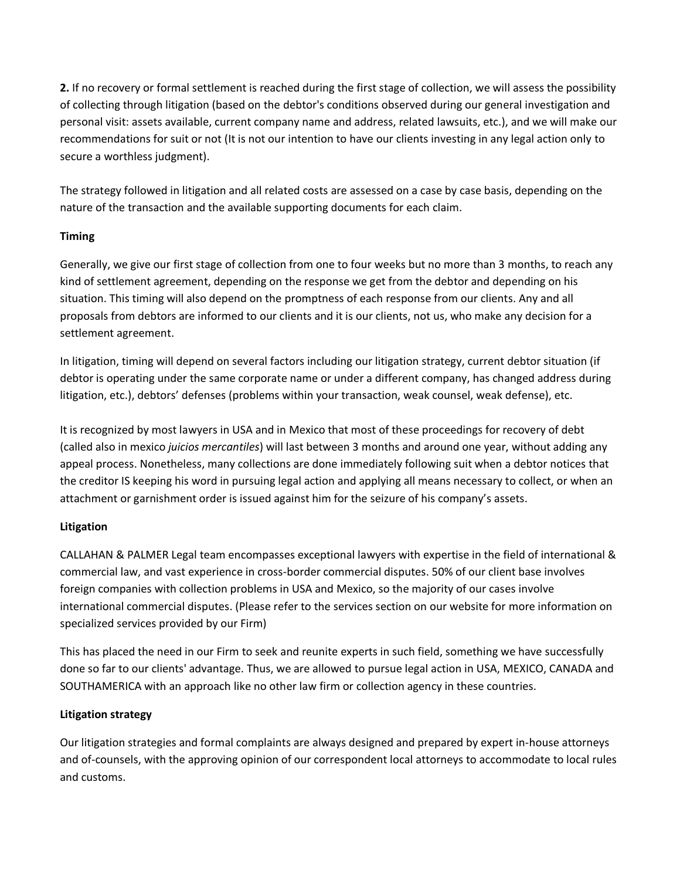**2.** If no recovery or formal settlement is reached during the first stage of collection, we will assess the possibility of collecting through litigation (based on the debtor's conditions observed during our general investigation and personal visit: assets available, current company name and address, related lawsuits, etc.), and we will make our recommendations for suit or not (It is not our intention to have our clients investing in any legal action only to secure a worthless judgment).

The strategy followed in litigation and all related costs are assessed on a case by case basis, depending on the nature of the transaction and the available supporting documents for each claim.

# **Timing**

Generally, we give our first stage of collection from one to four weeks but no more than 3 months, to reach any kind of settlement agreement, depending on the response we get from the debtor and depending on his situation. This timing will also depend on the promptness of each response from our clients. Any and all proposals from debtors are informed to our clients and it is our clients, not us, who make any decision for a settlement agreement.

In litigation, timing will depend on several factors including our litigation strategy, current debtor situation (if debtor is operating under the same corporate name or under a different company, has changed address during litigation, etc.), debtors' defenses (problems within your transaction, weak counsel, weak defense), etc.

It is recognized by most lawyers in USA and in Mexico that most of these proceedings for recovery of debt (called also in mexico *juicios mercantiles*) will last between 3 months and around one year, without adding any appeal process. Nonetheless, many collections are done immediately following suit when a debtor notices that the creditor IS keeping his word in pursuing legal action and applying all means necessary to collect, or when an attachment or garnishment order is issued against him for the seizure of his company's assets.

# **Litigation**

CALLAHAN & PALMER Legal team encompasses exceptional lawyers with expertise in the field of international & commercial law, and vast experience in cross-border commercial disputes. 50% of our client base involves foreign companies with collection problems in USA and Mexico, so the majority of our cases involve international commercial disputes. (Please refer to the services section on our website for more information on specialized services provided by our Firm)

This has placed the need in our Firm to seek and reunite experts in such field, something we have successfully done so far to our clients' advantage. Thus, we are allowed to pursue legal action in USA, MEXICO, CANADA and SOUTHAMERICA with an approach like no other law firm or collection agency in these countries.

# **Litigation strategy**

Our litigation strategies and formal complaints are always designed and prepared by expert in-house attorneys and of-counsels, with the approving opinion of our correspondent local attorneys to accommodate to local rules and customs.